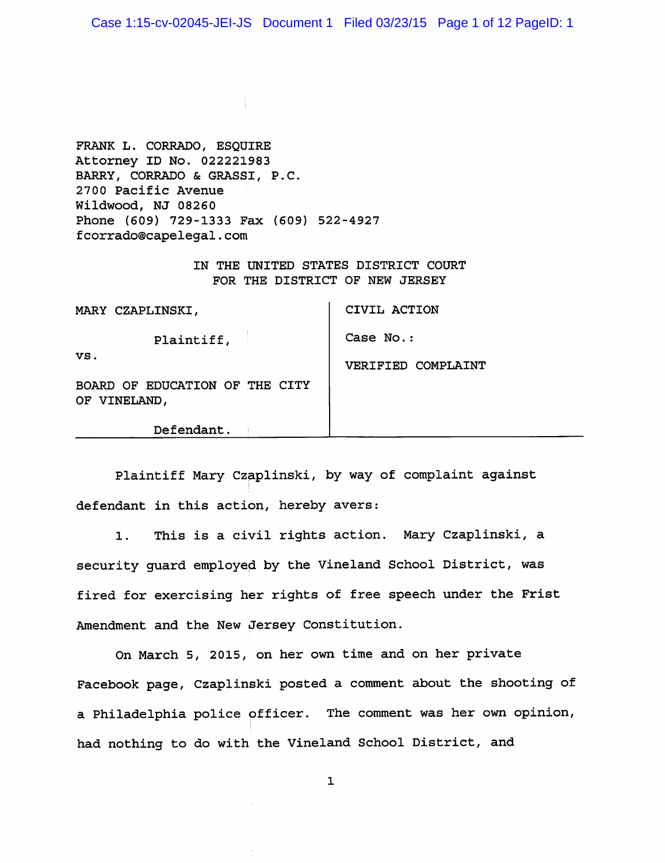Case 1:15-cv-02045-JEI-JS Document 1 Filed 03/23/15 Page 1 of 12 PageID: 1

FRANK L. CORRADO, ESQUIRE Attorney ID No. 022221983 BARRY, CORRADO & GRASSI, P.C. 2700 Pacific Avenue Wildwood, NJ 08260 Phone (609) 729-1333 Fax (609) 522-4927 fcorrado®capelegal.com

> IN THE UNITED STATES DISTRICT COURT FOR THE DISTRICT OF NEW JERSEY

| MARY CZAPLINSKI,                               | CIVIL ACTION       |
|------------------------------------------------|--------------------|
| Plaintiff,                                     | Case No.:          |
| VS.                                            | VERIFIED COMPLAINT |
| BOARD OF EDUCATION OF THE CITY<br>OF VINELAND, |                    |
| Defendant.                                     |                    |

Plaintiff Mary Czaplinski, by way of complaint against defendant in this action, hereby avers:

1. This is <sup>a</sup> civil rights action. Mary Czaplinski, <sup>a</sup> security guard employed by the Vineland School District, was fired for exercising her rights of free speech under the Frist Amendment and the New Jersey Constitution.

On March 5, 2015, on her own time and on her private Facebook page, Czaplinski posted a comment about the shooting of a Philadelphia police officer. The comment was her own opinion, had nothing to do with the Vineland School District, and

 $\mathbf{1}$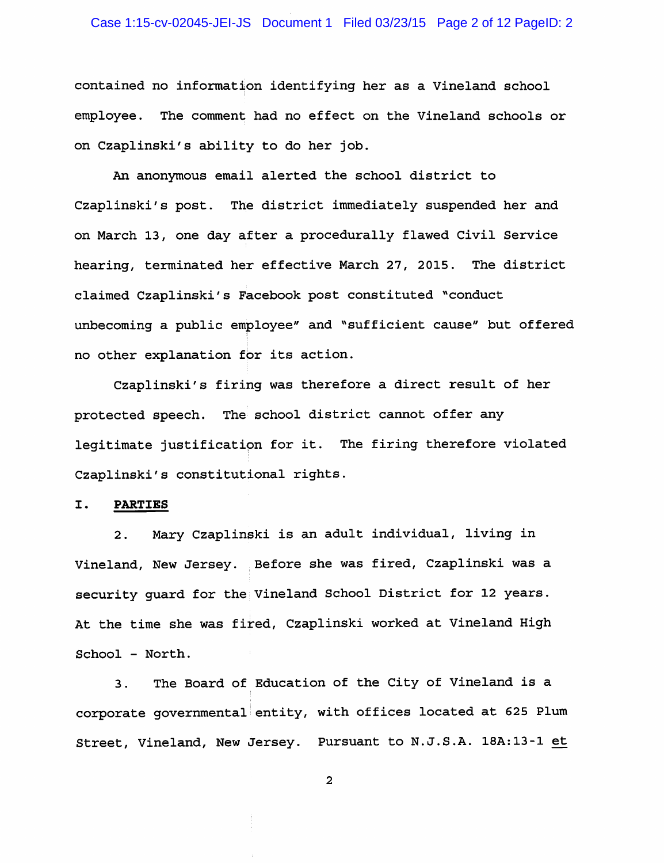### Case 1:15-cv-02045-JEI-JS Document 1 Filed 03/23/15 Page 2 of 12 PageID: 2

contained no information identifying her as <sup>a</sup> Vineland school employee. The comment had no effect on the Vineland schools or on Czaplinski's ability to do her job.

An anonymous email alerted the school district to Czaplinski's post. The district immediately suspended her and on March 13, one day after <sup>a</sup> procedurally flawed Civil Service hearing, terminated her effective March 27, 2015. The district claimed Czaplinski's Facebook post constituted ''conduct unbecoming <sup>a</sup> public employee" and ''sufficient cause" but offered no other explanation for its action.

Czaplinski's firing was therefore <sup>a</sup> direct result of her protected speech. The school district cannot offer any legitimate justification for it. The firing therefore violated Czaplinski's constitutional rights.

### I. PARTIES

2. Mary Czaplinski is an adult individual, living in Vineland, New Jersey. Before she was fired, Czaplinski was a security guard for the Vineland School District for 12 years. At the time she was fired, Czaplinski worked at Vineland High School - North.

3. The Board of Education of the City of Vineland is <sup>a</sup> corporate governmental entity, with offices located at 625 Plum Street, Vineland, New Jersey. Pursuant to N.J.S.A. 18A:13-1 et

 $\overline{2}$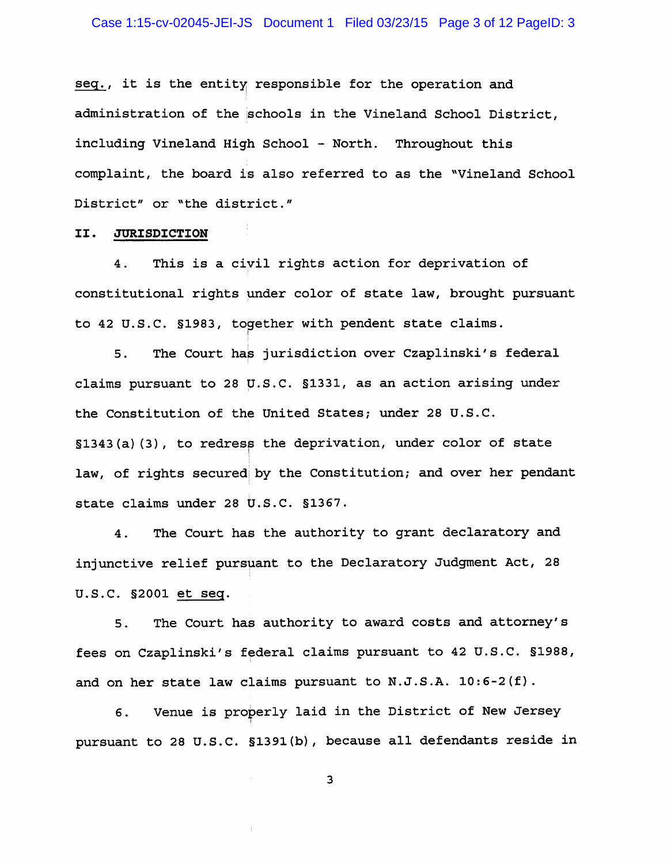seq., it is the entity responsible for the operation and administration of the schools in the Vineland School District, including Vineland High School - North. Throughout this complaint, the board is also referred to as the "Vineland School District" or "the district."

#### II. JURISDICTION

4. This is <sup>a</sup> civil rights action for deprivation of constitutional rights under color of state law, brought pursuant to 42 U.S.C. §1983, together with pendent state claims.

5. The Court has jurisdiction over Czaplinski's federal claims pursuant to 28 U.S.C. §1331, as an action arising under the Constitution of the United States; under 28 U.S.C. §1343(a)(3), to redress the deprivation, under color of state law, of rights secured by the Constitution; and over her pendant state claims under 28 U.S.C. §1367.

4. The Court has the authority to grant declaratory and injunctive relief pursuant to the Declaratory Judgment Act, <sup>28</sup> U.S.C. §2001 et seq.

5. The Court has authority to award costs and attorney's fees on Czaplinski's federal claims pursuant to 42 U.S.C. §1988, and on her state law claims pursuant to  $N.J.S.A. 10:6-2(f).$ 

6. Venue is properly laid in the District of New Jersey pursuant to <sup>28</sup> U.S.C. §1391(b), because all defendants reside in

 $\overline{3}$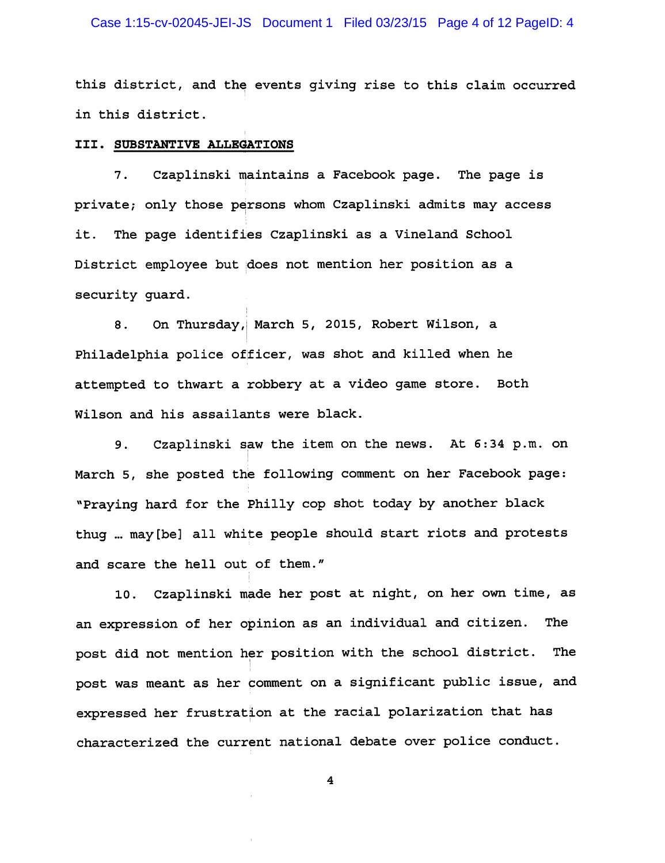### Case 1:15-cv-02045-JEI-JS Document 1 Filed 03/23/15 Page 4 of 12 PageID: 4

this district, and the events giving rise to this claim occurred in this district.

#### III. SUBSTANTIVE ALLEGATIONS

7. Czaplinski maintains <sup>a</sup> Facebook page. The page is private; only those persons whom Czaplinski admits may access it. The page identifies Czaplinski as <sup>a</sup> Vineland School District employee but does not mention her position as <sup>a</sup> security guard.

8. On Thursday, March 5, 2015, Robert Wilson, a Philadelphia police officer, was shot and killed when he attempted to thwart <sup>a</sup> robbery at <sup>a</sup> video game store. Both Wilson and his assailants were black.

9. Czaplinski saw the item on the news. At 6:34 p.m. on March 5, she posted the following comment on her Facebook page: "Praying hard for the Philly cop shot today by another black thug ... may [be] all white people should start riots and protests and scare the hell out of them."

10. Czaplinski made her post at night, on her own time, as an expression of her opinion as an individual and citizen. The post did not mention her position with the school district. The post was meant as her comment on a significant public issue, and expressed her frustration at the racial polarization that has characterized the current national debate over police conduct.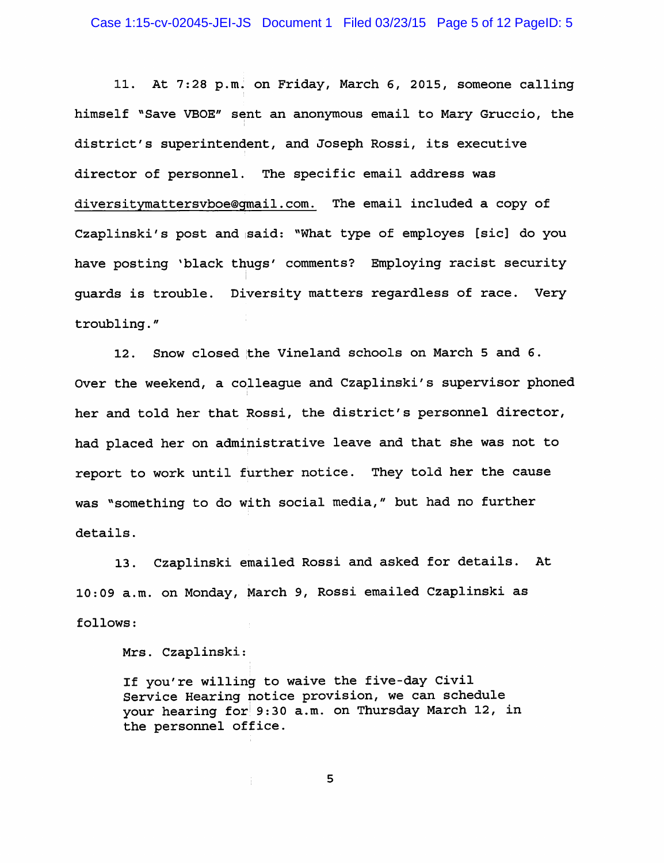11. At 7:28 p.m. on Friday, March 6, 2015, someone calling himself "Save VBOE" sent an anonymous email to Mary Gruccio, the district's superintendent, and Joseph Rossi, its executive director of personnel. The specific email address was diversitymattersvboe@qmail.com. The email included <sup>a</sup> copy of Czaplinski's post and said; "What type of employes [sic] do you have posting 'black thugs' comments? Employing racist security guards is trouble. Diversity matters regardless of race. Very troubling."

12. Snow closed the Vineland schools on March <sup>5</sup> and 6. Over the weekend, a colleague and Czaplinski's supervisor phoned her and told her that Rossi, the district's personnel director, had placed her on administrative leave and that she was not to report to work until further notice. They told her the cause was "something to do with social media," but had no further details.

13. Czaplinski emailed Rossi and asked for details. At 10:09 a.m. on Monday, March 9, Rossi emailed Czaplinski as follows:

Mrs. Czaplinski:

If you're willing to waive the five-day Civil Service Hearing notice provision, we can schedule your hearing for 9:30 a.m. on Thursday March 12, in the personnel office.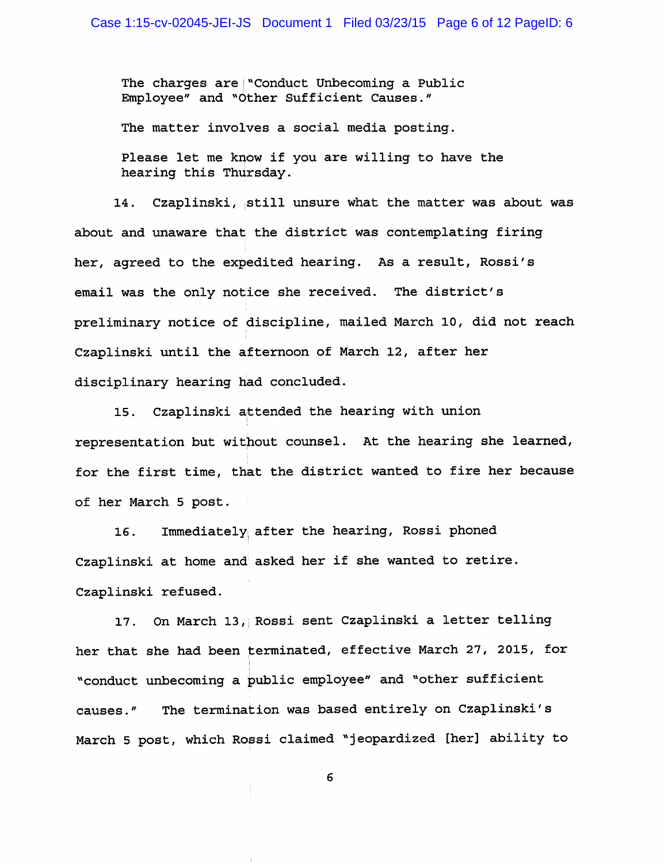The charges are "Conduct Unbecoming a Public Employee" and "Other Sufficient Causes."

The matter involves <sup>a</sup> social media posting.

Please let me know if you are willing to have the hearing this Thursday.

14. Czaplinski, still unsure what the matter was about was about and unaware that the district was contemplating firing her, agreed to the expedited hearing. As <sup>a</sup> result, Rossi's email was the only notice she received. The district's preliminary notice of discipline, mailed March 10, did not reach Czaplinski until the afternoon of March 12, after her disciplinary hearing had concluded.

15. Czaplinski attended the hearing with union representation but without counsel. At the hearing she learned, for the first time, that the district wanted to fire her because of her March <sup>5</sup> post.

16. Immediately; after the hearing, Rossi phoned Czaplinski at home and asked her if she wanted to retire. Czaplinski refused.

17. On March 13, Rossi sent Czaplinski a letter telling her that she had been terminated, effective March 27, 2015, for "conduct unbecoming a public employee" and "other sufficient causes." The termination was based entirely on Czaplinski's March 5 post, which Rossi claimed "jeopardized [her] ability to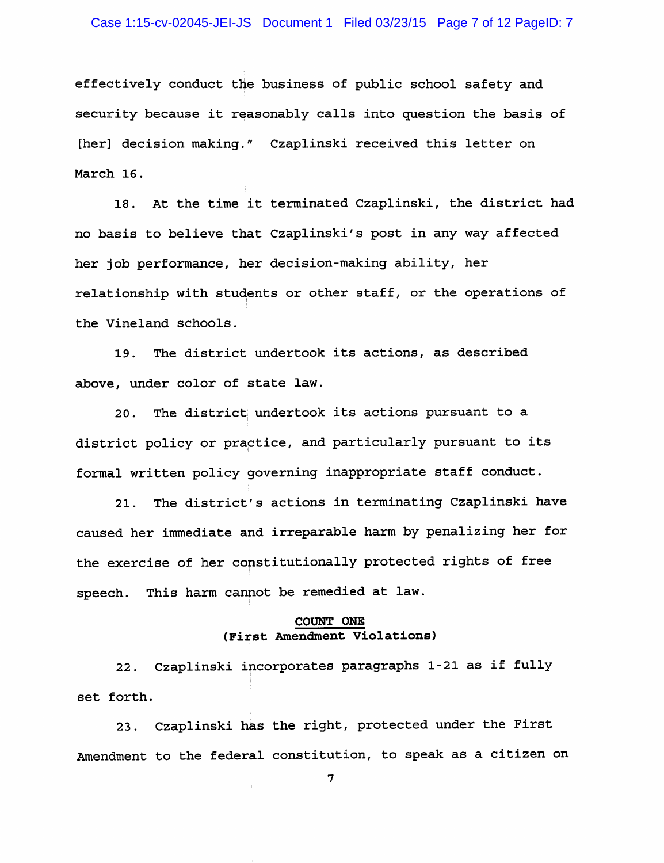### Case 1:15-cv-02045-JEI-JS Document 1 Filed 03/23/15 Page 7 of 12 PageID: 7

effectively conduct the business of public school safety and security because it reasonably calls into question the basis of [her] decision making." Czaplinski received this letter on March 16.

18. At the time it terminated Czaplinski, the district had no basis to believe that Czaplinski's post in any way affected her job performance, her decision-making ability, her relationship with students or other staff, or the operations of the Vineland schools.

19. The district undertook its actions, as described above, under color of state law.

20. The district; undertook its actions pursuant to <sup>a</sup> district policy or practice, and particularly pursuant to its formal written policy governing inappropriate staff conduct.

21. The district's actions in terminating Czaplinski have caused her immediate and irreparable harm by penalizing her for the exercise of her constitutionally protected rights of free speech. This harm cannot be remedied at law.

## CODNT ONE (First Amendment Violations)

22. Czaplinski incorporates paragraphs 1-21 as if fully set forth.

23. Czaplinski has the right, protected under the First Amendment to the federal constitution, to speak as <sup>a</sup> citizen on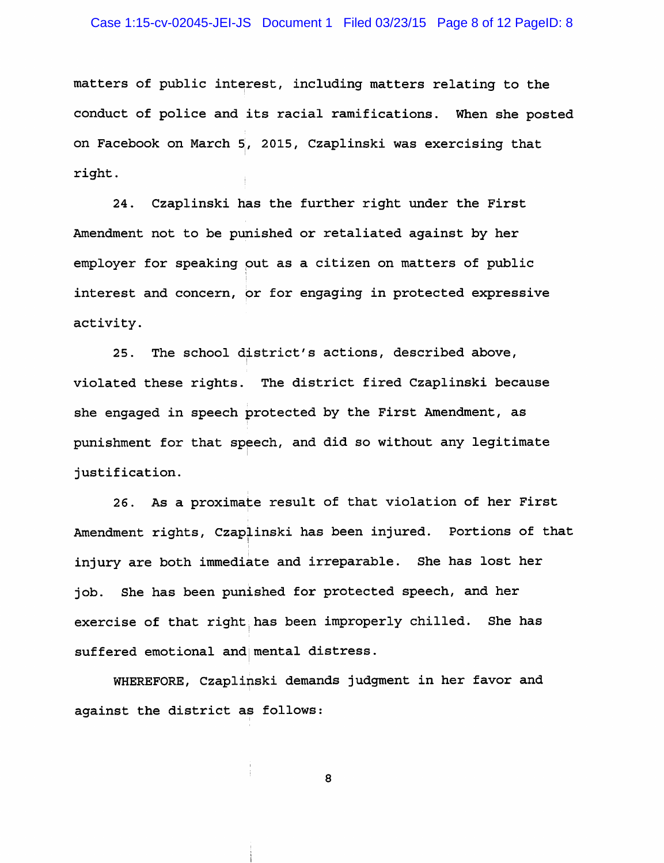### Case 1:15-cv-02045-JEI-JS Document 1 Filed 03/23/15 Page 8 of 12 PageID: 8

matters of public interest, including matters relating to the conduct of police and its racial ramifications. When she posted on Facebook on March 5, 2015, Czaplinski was exercising that right.

24. Czaplinski has the further right under the First Amendment not to be punished or retaliated against by her employer for speaking out as a citizen on matters of public interest and concern, or for engaging in protected expressive activity.

25. The school district's actions, described above, violated these rights. The district fired Czaplinski because she engaged in speech protected by the First Amendment, as punishment for that speech, and did so without any legitimate justification.

26. As <sup>a</sup> proximate result of that violation of her First Amendment rights, Czaplinski has been injured. Portions of that injury are both immediate and irreparable. She has lost her job. She has been punished for protected speech, and her exercise of that right; has been improperly chilled. She has suffered emotional and mental distress.

WHEREFORE, Czaplinski demands judgment in her favor and against the district as follows;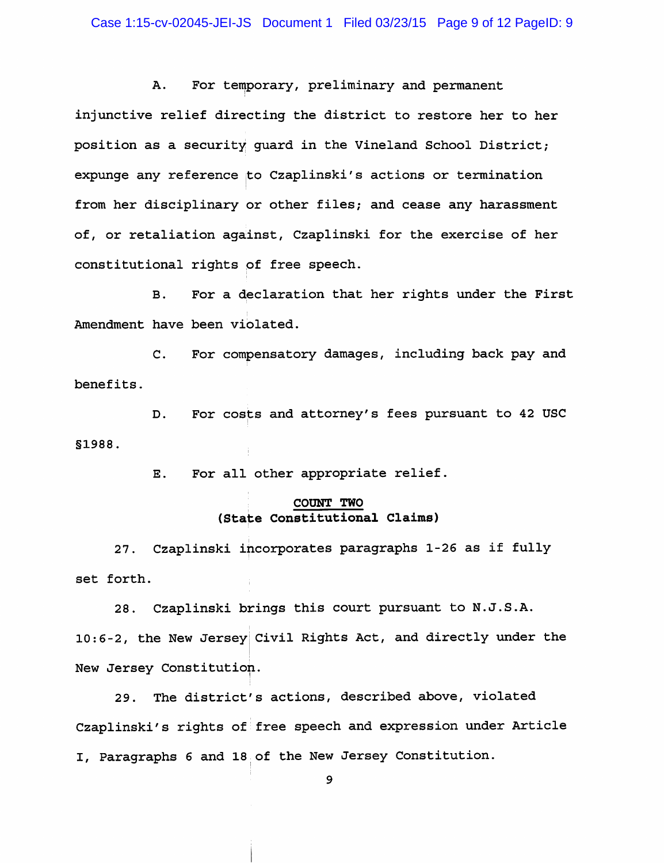A. For temporary, preliminary and permanent injunctive relief directing the district to restore her to her position as a security guard in the Vineland School District; expunge any reference to Czaplinski's actions or termination from her disciplinary or other files; and cease any harassment of, or retaliation against, Czaplinski for the exercise of her constitutional rights of free speech.

B. For <sup>a</sup> declaration that her rights under the First Amendment have been violated.

C. For compensatory damages, including back pay and benefits.

D. For costs and attorney's fees pursuant to 42 USC §1988.

E. For all other appropriate relief.

## COUNT TWO (State Constitutional Claims)

27. Czaplinski incorporates paragraphs 1-26 as if fully set forth.

28. Czaplinski brings this court pursuant to N.J.S.A. 10:6-2, the New Jersey Civil Rights Act, and directly under the New Jersey Constitution.

29. The district's actions, described above, violated Czaplinski's rights of free speech and expression under Article I, Paragraphs 6 and 18 of the New Jersey Constitution.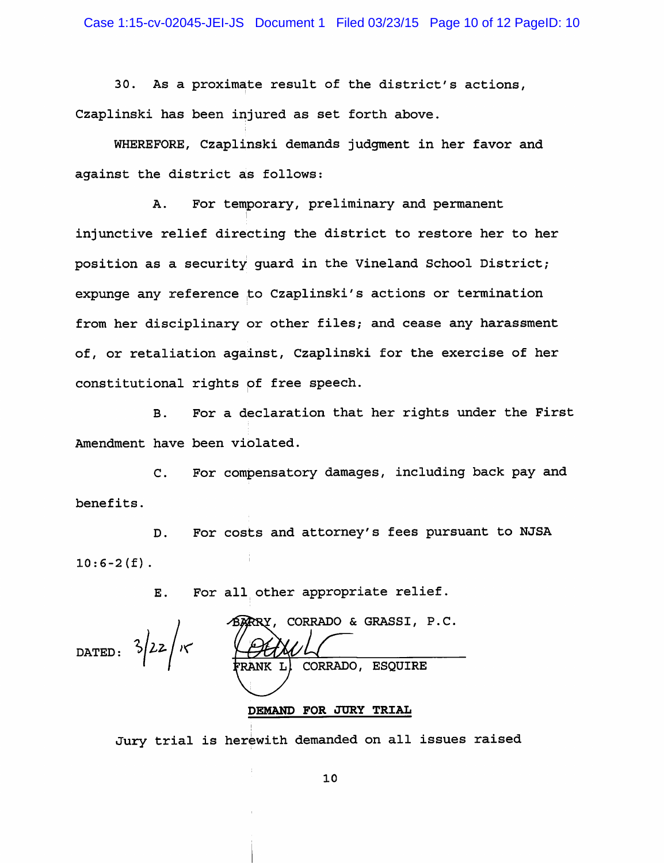30, As <sup>a</sup> proximate result of the district's actions, Czaplinski has been injured as set forth above.

WHEREFORE, Czaplinski demands judgment in her favor and against the district as follows:

A. For temporary, preliminary and permanent i injunctive relief directing the district to restore her to her position as a security quard in the Vineland School District; expunge any reference to Czaplinski's actions or termination from her disciplinary or other files; and cease any harassment of, or retaliation against, Czaplinski for the exercise of her constitutional rights of free speech.

B. For <sup>a</sup> declaration that her rights under the First Amendment have been violated.

C. For compensatory damages, including back pay and benefits.

D. For costs and attorney's fees pursuant to NJSA  $10:6-2(f)$ .

E. For all other appropriate relief.

BARRY, CORRADO & GRASSI, P.C. DATED:  $3/22/r$ CORRADO, ESQUIRE

# DEMAND FOR JURY TRIAL

Jury trial is herewith demanded on all issues raised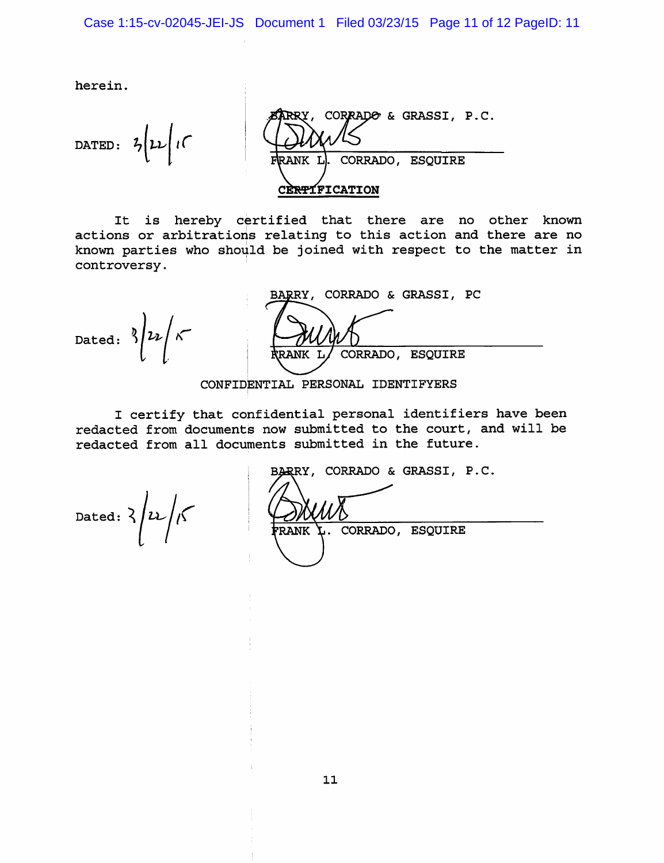herein.

CORRADO & GRASSI, P.C. DATED:  $2|22|16$ **ZANK** . CORRADO, ESQUIRE L CERTIFICATION

It is hereby certified that there are no other known actions or arbitrations relating to this action and there are no known parties who should be joined with respect to the matter in controversy.

Dated:  $\sqrt[3]{2\nu/\kappa}$ BARRY, CORRADO & GRASSI, PC CORRADO, ESOUIRE

CONFIDENTIAL PERSONAL IDENTIFYERS

<sup>I</sup> certify that confidential personal identifiers have been redacted from documents now submitted to the court, and will be redacted from all documents submitted in the future.

Dated:  $2/u/\sqrt{10}$ 

| BARRY, CORRADO & GRASSI, P.C. |                  |  |
|-------------------------------|------------------|--|
|                               |                  |  |
|                               |                  |  |
|                               |                  |  |
| <b>FRANK</b>                  | CORRADO, ESQUIRE |  |
|                               |                  |  |
|                               |                  |  |